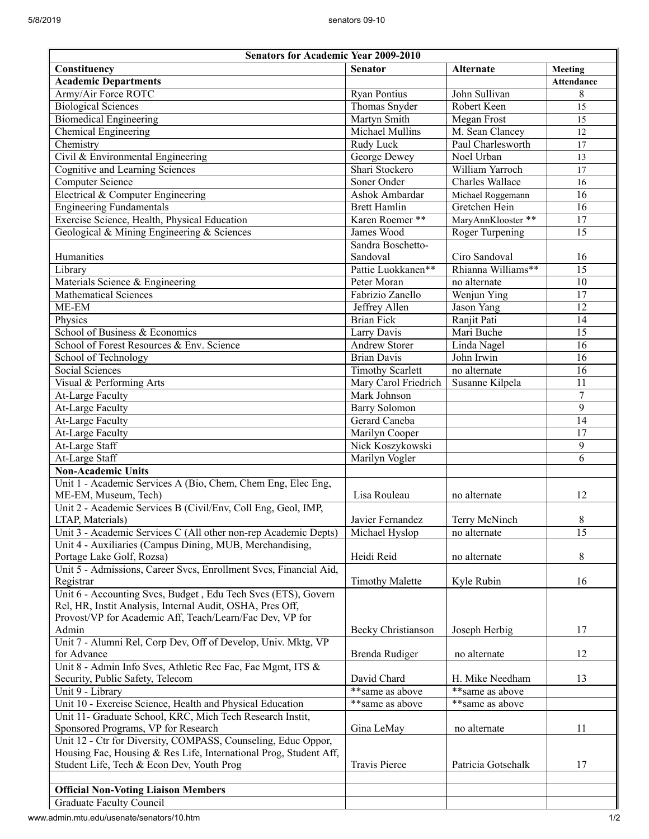| <b>Senators for Academic Year 2009-2010</b>                                                                                 |                         |                        |                   |
|-----------------------------------------------------------------------------------------------------------------------------|-------------------------|------------------------|-------------------|
| Constituency                                                                                                                | <b>Senator</b>          | <b>Alternate</b>       | Meeting           |
| <b>Academic Departments</b>                                                                                                 |                         |                        | <b>Attendance</b> |
| Army/Air Force ROTC                                                                                                         | <b>Ryan Pontius</b>     | John Sullivan          | 8                 |
| <b>Biological Sciences</b>                                                                                                  | Thomas Snyder           | Robert Keen            | 15                |
| <b>Biomedical Engineering</b>                                                                                               | Martyn Smith            | Megan Frost            | 15                |
| Chemical Engineering                                                                                                        | Michael Mullins         | M. Sean Clancey        | 12                |
| Chemistry                                                                                                                   | Rudy Luck               | Paul Charlesworth      | 17                |
| Civil & Environmental Engineering                                                                                           | <b>George Dewey</b>     | Noel Urban             | 13                |
| Cognitive and Learning Sciences                                                                                             | Shari Stockero          | William Yarroch        | 17                |
| Computer Science                                                                                                            | Soner Onder             | <b>Charles Wallace</b> | 16                |
| Electrical & Computer Engineering                                                                                           | Ashok Ambardar          | Michael Roggemann      | 16                |
| Engineering Fundamentals                                                                                                    | <b>Brett Hamlin</b>     | Gretchen Hein          | 16                |
| Exercise Science, Health, Physical Education                                                                                | Karen Roemer **         | MaryAnnKlooster **     | 17                |
| Geological & Mining Engineering & Sciences                                                                                  | James Wood              | Roger Turpening        | $\overline{15}$   |
|                                                                                                                             | Sandra Boschetto-       |                        |                   |
| Humanities                                                                                                                  | Sandoval                | Ciro Sandoval          | 16                |
| Library                                                                                                                     | Pattie Luokkanen**      | Rhianna Williams**     | $\overline{15}$   |
| Materials Science & Engineering                                                                                             | Peter Moran             | no alternate           | $\overline{10}$   |
| <b>Mathematical Sciences</b>                                                                                                | Fabrizio Zanello        | Wenjun Ying            | 17                |
| ME-EM                                                                                                                       | Jeffrey Allen           | Jason Yang             | 12                |
| Physics                                                                                                                     | <b>Brian Fick</b>       | Ranjit Pati            | $\overline{14}$   |
| School of Business & Economics                                                                                              | Larry Davis             | Mari Buche             | $\overline{15}$   |
| School of Forest Resources & Env. Science                                                                                   | <b>Andrew Storer</b>    | Linda Nagel            | 16                |
| School of Technology                                                                                                        | <b>Brian Davis</b>      | John Irwin             | 16                |
| Social Sciences                                                                                                             | <b>Timothy Scarlett</b> | no alternate           | $\overline{16}$   |
| Visual & Performing Arts                                                                                                    | Mary Carol Friedrich    | Susanne Kilpela        | 11                |
| <b>At-Large Faculty</b>                                                                                                     | Mark Johnson            |                        | 7                 |
| <b>At-Large Faculty</b>                                                                                                     | <b>Barry Solomon</b>    |                        | $\overline{9}$    |
| At-Large Faculty                                                                                                            | Gerard Caneba           |                        | 14                |
| At-Large Faculty                                                                                                            | Marilyn Cooper          |                        | $\overline{17}$   |
| At-Large Staff                                                                                                              | Nick Koszykowski        |                        | 9                 |
| At-Large Staff                                                                                                              | Marilyn Vogler          |                        | 6                 |
| Non-Academic Units                                                                                                          |                         |                        |                   |
| Unit 1 - Academic Services A (Bio, Chem, Chem Eng, Elec Eng,                                                                |                         |                        |                   |
| ME-EM, Museum, Tech)                                                                                                        | Lisa Rouleau            | no alternate           | 12                |
| Unit 2 - Academic Services B (Civil/Env, Coll Eng, Geol, IMP,                                                               |                         |                        |                   |
| LTAP, Materials)                                                                                                            | Javier Fernandez        | Terry McNinch          | 8<br>15           |
| Unit 3 - Academic Services C (All other non-rep Academic Depts)<br>Unit 4 - Auxiliaries (Campus Dining, MUB, Merchandising, | Michael Hyslop          | no alternate           |                   |
| Portage Lake Golf, Rozsa)                                                                                                   | Heidi Reid              | no alternate           | 8                 |
| Unit 5 - Admissions, Career Svcs, Enrollment Svcs, Financial Aid,                                                           |                         |                        |                   |
| Registrar                                                                                                                   | <b>Timothy Malette</b>  | Kyle Rubin             | 16                |
| Unit 6 - Accounting Svcs, Budget, Edu Tech Svcs (ETS), Govern                                                               |                         |                        |                   |
| Rel, HR, Instit Analysis, Internal Audit, OSHA, Pres Off,                                                                   |                         |                        |                   |
| Provost/VP for Academic Aff, Teach/Learn/Fac Dev, VP for                                                                    |                         |                        |                   |
| Admin                                                                                                                       | Becky Christianson      | Joseph Herbig          | 17                |
| Unit 7 - Alumni Rel, Corp Dev, Off of Develop, Univ. Mktg, VP                                                               |                         |                        |                   |
| for Advance                                                                                                                 | Brenda Rudiger          | no alternate           | 12                |
| Unit 8 - Admin Info Svcs, Athletic Rec Fac, Fac Mgmt, ITS &                                                                 |                         |                        |                   |
| Security, Public Safety, Telecom                                                                                            | David Chard             | H. Mike Needham        | 13                |
| Unit 9 - Library                                                                                                            | **same as above         | **same as above        |                   |
| Unit 10 - Exercise Science, Health and Physical Education                                                                   | **same as above         | **same as above        |                   |
| Unit 11- Graduate School, KRC, Mich Tech Research Instit,                                                                   |                         |                        |                   |
| Sponsored Programs, VP for Research                                                                                         | Gina LeMay              | no alternate           | 11                |
| Unit 12 - Ctr for Diversity, COMPASS, Counseling, Educ Oppor,                                                               |                         |                        |                   |
| Housing Fac, Housing & Res Life, International Prog, Student Aff,                                                           |                         |                        |                   |
| Student Life, Tech & Econ Dev, Youth Prog                                                                                   | <b>Travis Pierce</b>    | Patricia Gotschalk     | 17                |
|                                                                                                                             |                         |                        |                   |
| <b>Official Non-Voting Liaison Members</b>                                                                                  |                         |                        |                   |
| <b>Graduate Faculty Council</b>                                                                                             |                         |                        |                   |